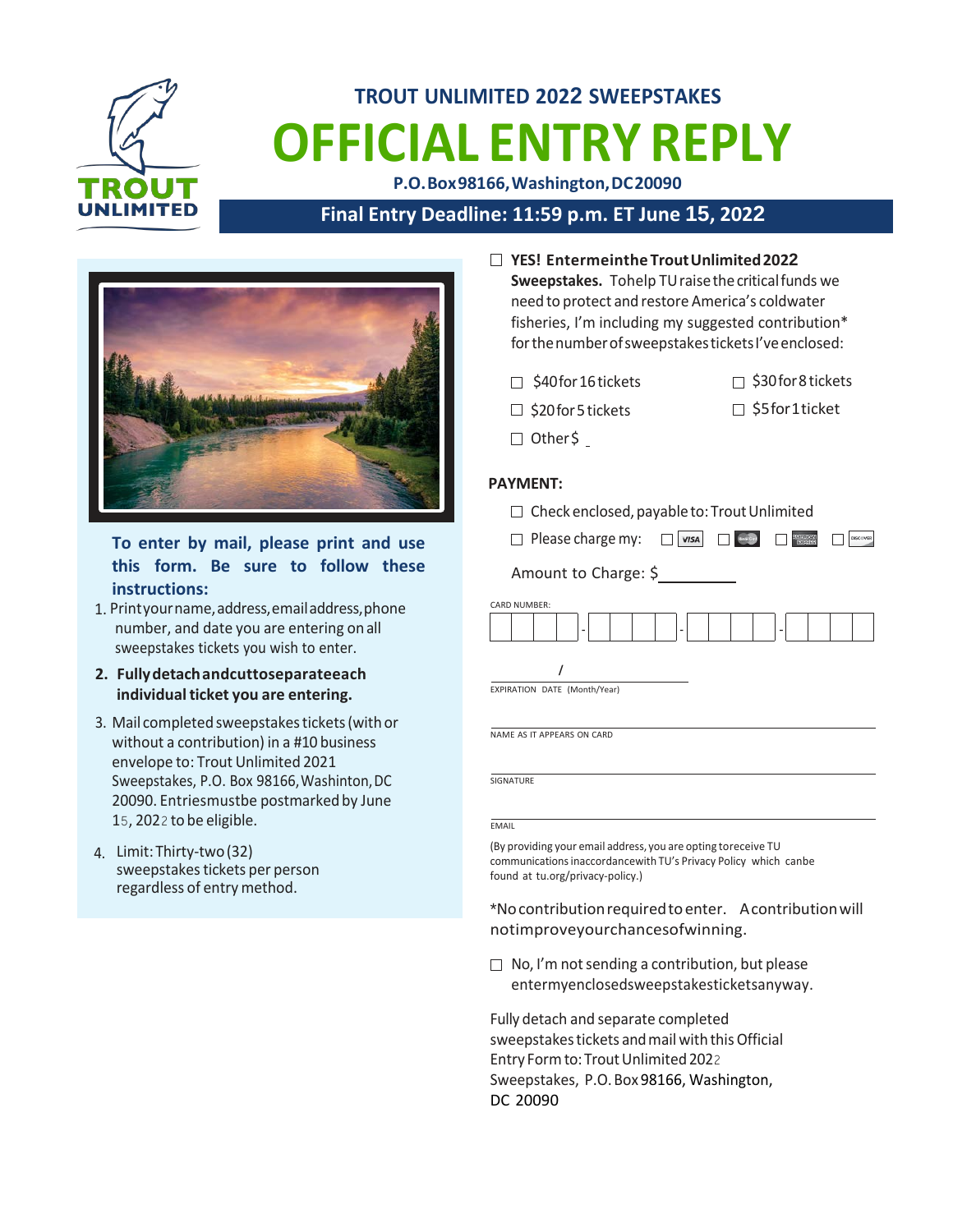

# **TROUT UNLIMITED 2022 SWEEPSTAKES OFFICIAL ENTRY REPLY**

**P.O.Box98166,Washington,DC20090**

# **Final Entry Deadline: 11:59 p.m. ET June 15, 2022**



**To enter by mail, please print and use this form. Be sure to follow these instructions:**

- 1. Printyourname,address,emailaddress,phone number, and date you are entering onall sweepstakes tickets you wish to enter.
- **2. Fullydetachandcuttoseparateeach individual ticket you are entering.**
- 3. Mail completed sweepstakes tickets (with or without a contribution) in a #10 business envelope to: Trout Unlimited 2021 Sweepstakes, P.O. Box 98166,Washinton,DC 20090. Entriesmustbe postmarked by June 15, 2022 to be eligible.
- 4. Limit: Thirty-two(32) sweepstakes tickets per person regardless of entry method.
- **YES! Entermeinthe TroutUnlimited2022** Sweepstakes. Tohelp TU raise the critical funds we need to protect and restore America's coldwater fisheries, I'm including my suggested contribution\* for the number of sweepstakes tickets I've enclosed:
	- $\Box$  \$40 for 16 tickets
- $\Box$  \$30 for 8 tickets
- $\Box$  \$20 for 5 tickets
- 
- □ \$5for1ticket
- 
- 
- Other\$

#### **PAYMENT:**



**SIGNATURE** 

**EMAIL** 

(By providing your email address, you are opting toreceive TU communicationsinaccordancewith TU's Privacy Policy which canbe found at tu.org/privacy-policy.)

\*Nocontributionrequiredtoenter. Acontributionwill notimproveyourchancesofwinning.

 $\Box$  No, I'm not sending a contribution, but please entermyenclosedsweepstakesticketsanyway.

Fully detach and separate completed sweepstakes tickets and mail with this Official Entry Form to: Trout Unlimited 2022 Sweepstakes, P.O.Box 98166, Washington, DC 20090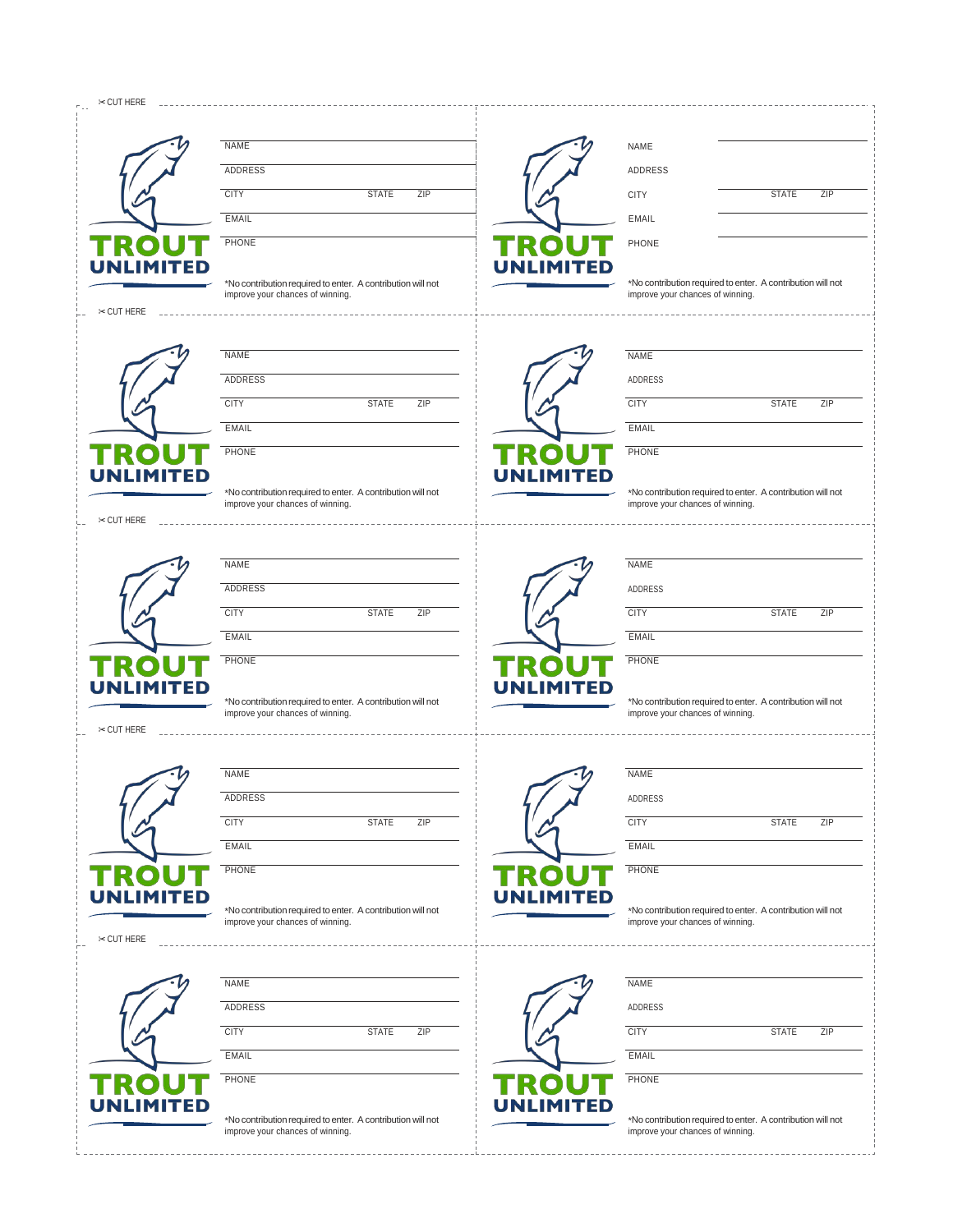| $\approx$ CUT HERE |                                                                                                 |                  |                                                                                                 |
|--------------------|-------------------------------------------------------------------------------------------------|------------------|-------------------------------------------------------------------------------------------------|
|                    |                                                                                                 |                  |                                                                                                 |
|                    | <b>NAME</b>                                                                                     |                  | <b>NAME</b>                                                                                     |
|                    | ADDRESS                                                                                         |                  | ADDRESS                                                                                         |
|                    | <b>CITY</b><br><b>STATE</b><br>ZIP                                                              |                  | <b>STATE</b><br>ZIP<br><b>CITY</b>                                                              |
|                    | <b>EMAIL</b>                                                                                    |                  | <b>EMAIL</b>                                                                                    |
| R<br>Ol            | PHONE                                                                                           | TROUT            | PHONE                                                                                           |
| <b>UNLIMITED</b>   | *No contribution required to enter. A contribution will not                                     | <b>UNLIMITED</b> | *No contribution required to enter. A contribution will not                                     |
|                    | improve your chances of winning.                                                                |                  | improve your chances of winning.                                                                |
| $\approx$ CUT HERE |                                                                                                 |                  |                                                                                                 |
|                    | <b>NAME</b>                                                                                     |                  | <b>NAME</b>                                                                                     |
|                    | <b>ADDRESS</b>                                                                                  |                  |                                                                                                 |
|                    |                                                                                                 |                  | ADDRESS                                                                                         |
|                    | <b>CITY</b><br><b>STATE</b><br>ZIP                                                              |                  | <b>CITY</b><br><b>STATE</b><br>ZIP                                                              |
|                    | <b>EMAIL</b>                                                                                    |                  | <b>EMAIL</b>                                                                                    |
| R<br>O             | PHONE                                                                                           | TROU             | PHONE                                                                                           |
| <b>UNLIMITED</b>   | *No contribution required to enter. A contribution will not                                     | <b>UNLIMITED</b> | *No contribution required to enter. A contribution will not                                     |
|                    | improve your chances of winning.                                                                |                  | improve your chances of winning.                                                                |
| $\approx$ CUT HERE |                                                                                                 |                  |                                                                                                 |
|                    | <b>NAME</b>                                                                                     |                  |                                                                                                 |
|                    |                                                                                                 |                  | <b>NAME</b>                                                                                     |
|                    | ADDRESS                                                                                         |                  | ADDRESS                                                                                         |
|                    | <b>CITY</b><br><b>STATE</b><br>ZIP                                                              |                  | <b>CITY</b><br><b>STATE</b><br>ZIP                                                              |
|                    | <b>EMAIL</b>                                                                                    |                  | <b>EMAIL</b>                                                                                    |
| P.<br>$\cap$       | PHONE                                                                                           | TROI             | PHONE                                                                                           |
| <b>UNLIMITED</b>   | *No contribution required to enter. A contribution will not                                     | <b>UNLIMITED</b> | *No contribution required to enter. A contribution will not                                     |
|                    | improve your chances of winning.                                                                |                  | improve your chances of winning.                                                                |
| $\approx$ CUT HERE |                                                                                                 |                  |                                                                                                 |
|                    |                                                                                                 |                  |                                                                                                 |
|                    | <b>NAME</b>                                                                                     |                  | <b>NAME</b>                                                                                     |
|                    | ADDRESS                                                                                         |                  | ADDRESS                                                                                         |
|                    | <b>CITY</b><br>ZIP<br><b>STATE</b>                                                              |                  | <b>CITY</b><br><b>STATE</b><br>ZIP                                                              |
|                    | EMAIL                                                                                           |                  | EMAIL                                                                                           |
| TRO                | PHONE                                                                                           | TROU             | PHONE                                                                                           |
| <b>UNLIMITED</b>   |                                                                                                 | <b>UNLIMITED</b> |                                                                                                 |
|                    | *No contribution required to enter. A contribution will not<br>improve your chances of winning. |                  | *No contribution required to enter. A contribution will not<br>improve your chances of winning. |
| $\approx$ CUT HERE |                                                                                                 |                  |                                                                                                 |
|                    |                                                                                                 |                  |                                                                                                 |
|                    | <b>NAME</b>                                                                                     |                  | NAME                                                                                            |
|                    | ADDRESS                                                                                         |                  | ADDRESS                                                                                         |
|                    | <b>CITY</b><br><b>STATE</b><br>ZIP                                                              |                  | <b>CITY</b><br><b>STATE</b><br>ZIP                                                              |
|                    | <b>EMAIL</b>                                                                                    |                  | <b>EMAIL</b>                                                                                    |
| TROI               | PHONE                                                                                           | TROU             | PHONE                                                                                           |
| <b>UNLIMITED</b>   |                                                                                                 | <b>UNLIMITED</b> |                                                                                                 |
|                    | *No contribution required to enter. A contribution will not<br>improve your chances of winning. |                  | *No contribution required to enter. A contribution will not<br>improve your chances of winning. |
|                    |                                                                                                 |                  |                                                                                                 |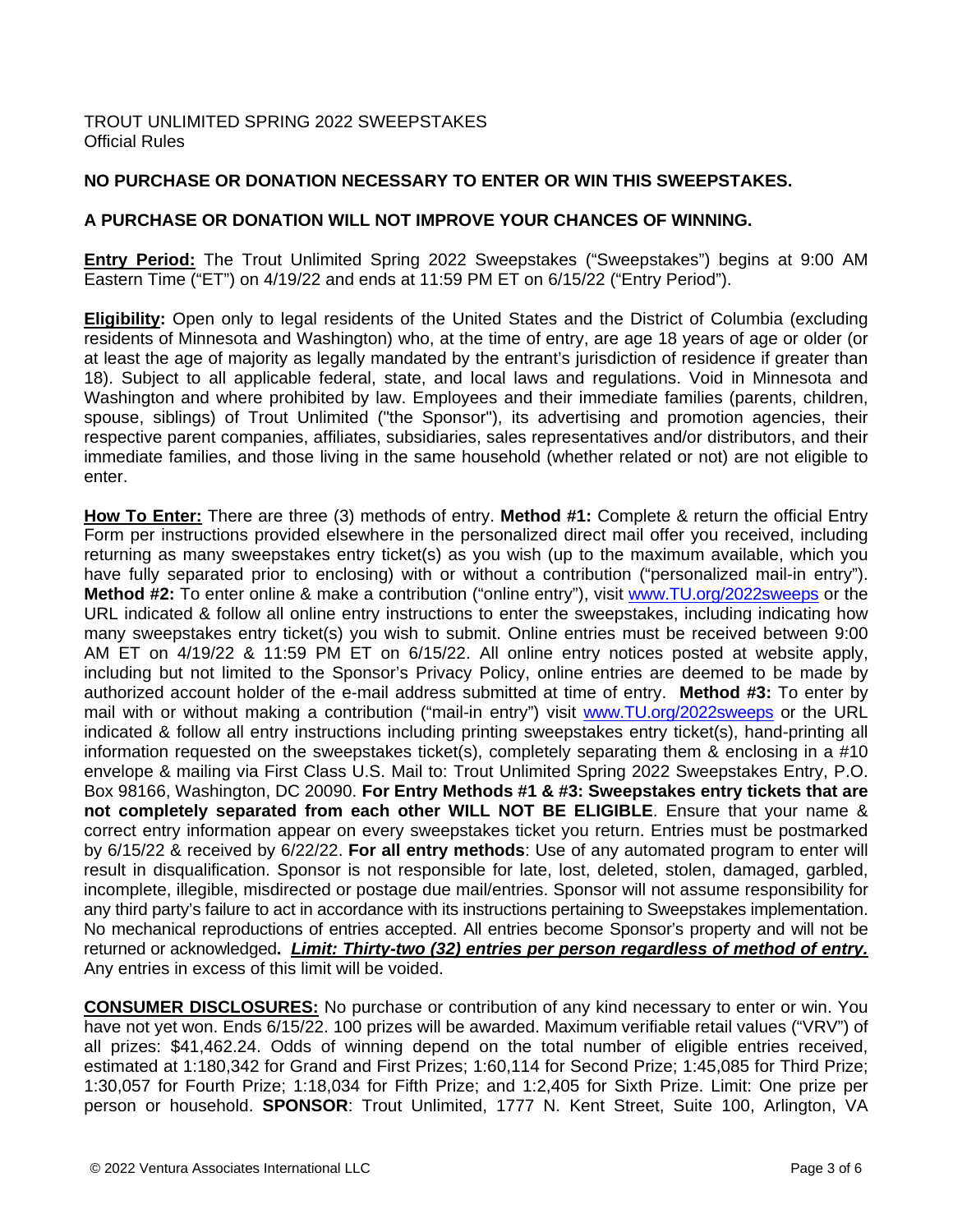# **NO PURCHASE OR DONATION NECESSARY TO ENTER OR WIN THIS SWEEPSTAKES.**

## **A PURCHASE OR DONATION WILL NOT IMPROVE YOUR CHANCES OF WINNING.**

**Entry Period:** The Trout Unlimited Spring 2022 Sweepstakes ("Sweepstakes") begins at 9:00 AM Eastern Time ("ET") on 4/19/22 and ends at 11:59 PM ET on 6/15/22 ("Entry Period").

**Eligibility:** Open only to legal residents of the United States and the District of Columbia (excluding residents of Minnesota and Washington) who, at the time of entry, are age 18 years of age or older (or at least the age of majority as legally mandated by the entrant's jurisdiction of residence if greater than 18). Subject to all applicable federal, state, and local laws and regulations. Void in Minnesota and Washington and where prohibited by law. Employees and their immediate families (parents, children, spouse, siblings) of Trout Unlimited ("the Sponsor"), its advertising and promotion agencies, their respective parent companies, affiliates, subsidiaries, sales representatives and/or distributors, and their immediate families, and those living in the same household (whether related or not) are not eligible to enter.

**How To Enter:** There are three (3) methods of entry. **Method #1:** Complete & return the official Entry Form per instructions provided elsewhere in the personalized direct mail offer you received, including returning as many sweepstakes entry ticket(s) as you wish (up to the maximum available, which you have fully separated prior to enclosing) with or without a contribution ("personalized mail-in entry"). **Method #2:** To enter online & make a contribution ("online entry"), visit [www.TU.org/2022sweeps](http://www.tu.org/2022sweeps) or the URL indicated & follow all online entry instructions to enter the sweepstakes, including indicating how many sweepstakes entry ticket(s) you wish to submit. Online entries must be received between 9:00 AM ET on 4/19/22 & 11:59 PM ET on 6/15/22. All online entry notices posted at website apply, including but not limited to the Sponsor's Privacy Policy, online entries are deemed to be made by authorized account holder of the e-mail address submitted at time of entry. **Method #3:** To enter by mail with or without making a contribution ("mail-in entry") visit [www.TU.org/2022sweeps](http://www.tu.org/2022sweeps) or the URL indicated & follow all entry instructions including printing sweepstakes entry ticket(s), hand-printing all information requested on the sweepstakes ticket(s), completely separating them & enclosing in a #10 envelope & mailing via First Class U.S. Mail to: Trout Unlimited Spring 2022 Sweepstakes Entry, P.O. Box 98166, Washington, DC 20090. **For Entry Methods #1 & #3: Sweepstakes entry tickets that are not completely separated from each other WILL NOT BE ELIGIBLE**. Ensure that your name & correct entry information appear on every sweepstakes ticket you return. Entries must be postmarked by 6/15/22 & received by 6/22/22. **For all entry methods**: Use of any automated program to enter will result in disqualification. Sponsor is not responsible for late, lost, deleted, stolen, damaged, garbled, incomplete, illegible, misdirected or postage due mail/entries. Sponsor will not assume responsibility for any third party's failure to act in accordance with its instructions pertaining to Sweepstakes implementation. No mechanical reproductions of entries accepted. All entries become Sponsor's property and will not be returned or acknowledged**.** *Limit: Thirty-two (32) entries per person regardless of method of entry.*  Any entries in excess of this limit will be voided.

**CONSUMER DISCLOSURES:** No purchase or contribution of any kind necessary to enter or win. You have not yet won. Ends 6/15/22. 100 prizes will be awarded. Maximum verifiable retail values ("VRV") of all prizes: \$41,462.24. Odds of winning depend on the total number of eligible entries received, estimated at 1:180,342 for Grand and First Prizes; 1:60,114 for Second Prize; 1:45,085 for Third Prize; 1:30,057 for Fourth Prize; 1:18,034 for Fifth Prize; and 1:2,405 for Sixth Prize. Limit: One prize per person or household. **SPONSOR**: Trout Unlimited, 1777 N. Kent Street, Suite 100, Arlington, VA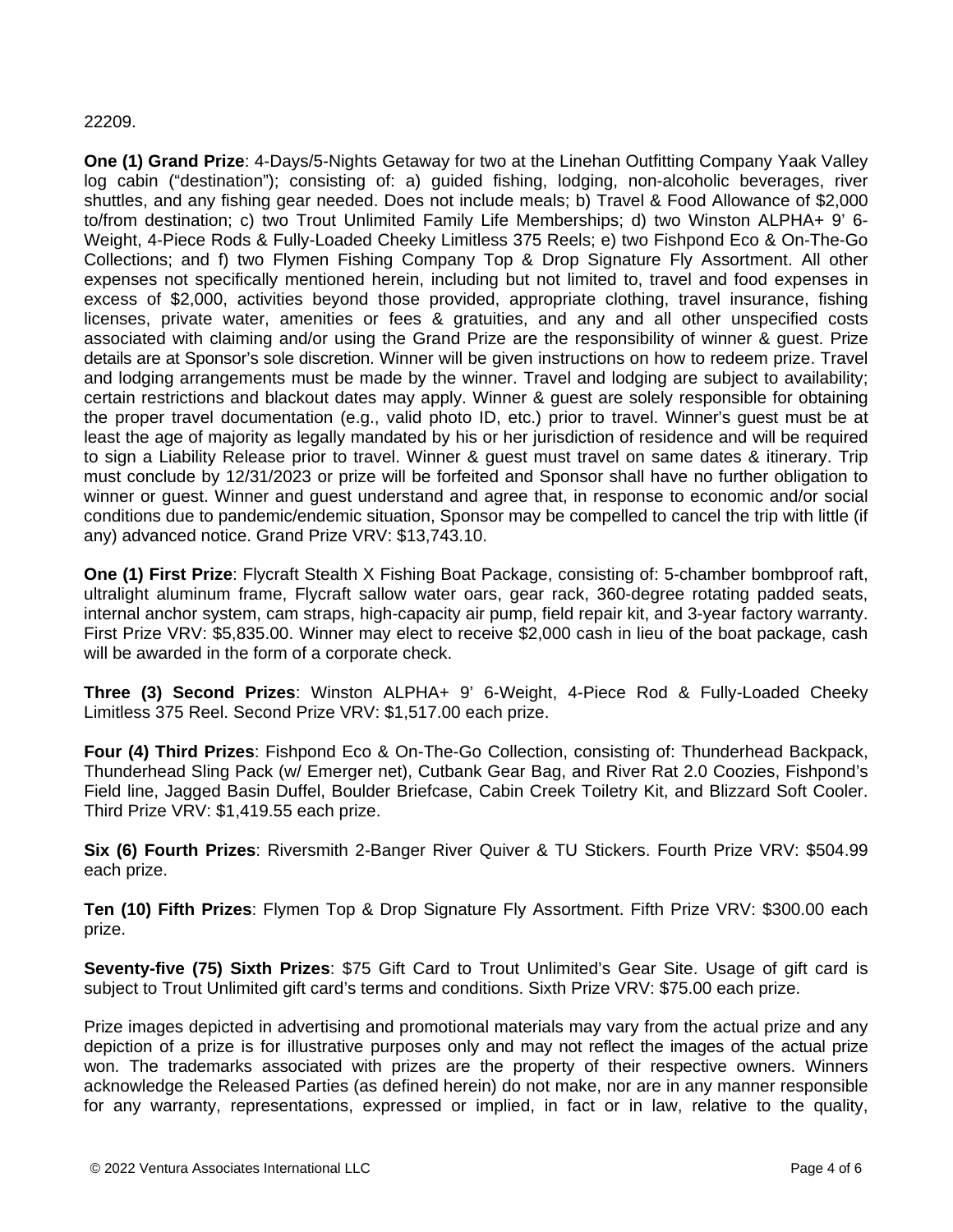#### 22209.

**One (1) Grand Prize**: 4-Days/5-Nights Getaway for two at the Linehan Outfitting Company Yaak Valley log cabin ("destination"); consisting of: a) guided fishing, lodging, non-alcoholic beverages, river shuttles, and any fishing gear needed. Does not include meals; b) Travel & Food Allowance of \$2,000 to/from destination; c) two Trout Unlimited Family Life Memberships; d) two Winston ALPHA+ 9' 6- Weight, 4-Piece Rods & Fully-Loaded Cheeky Limitless 375 Reels; e) two Fishpond Eco & On-The-Go Collections; and f) two Flymen Fishing Company Top & Drop Signature Fly Assortment. All other expenses not specifically mentioned herein, including but not limited to, travel and food expenses in excess of \$2,000, activities beyond those provided, appropriate clothing, travel insurance, fishing licenses, private water, amenities or fees & gratuities, and any and all other unspecified costs associated with claiming and/or using the Grand Prize are the responsibility of winner & guest. Prize details are at Sponsor's sole discretion. Winner will be given instructions on how to redeem prize. Travel and lodging arrangements must be made by the winner. Travel and lodging are subject to availability; certain restrictions and blackout dates may apply. Winner & guest are solely responsible for obtaining the proper travel documentation (e.g., valid photo ID, etc.) prior to travel. Winner's guest must be at least the age of majority as legally mandated by his or her jurisdiction of residence and will be required to sign a Liability Release prior to travel. Winner & guest must travel on same dates & itinerary. Trip must conclude by 12/31/2023 or prize will be forfeited and Sponsor shall have no further obligation to winner or guest. Winner and guest understand and agree that, in response to economic and/or social conditions due to pandemic/endemic situation, Sponsor may be compelled to cancel the trip with little (if any) advanced notice. Grand Prize VRV: \$13,743.10.

**One (1) First Prize**: Flycraft Stealth X Fishing Boat Package, consisting of: 5-chamber bombproof raft, ultralight aluminum frame, Flycraft sallow water oars, gear rack, 360-degree rotating padded seats, internal anchor system, cam straps, high-capacity air pump, field repair kit, and 3-year factory warranty. First Prize VRV: \$5,835.00. Winner may elect to receive \$2,000 cash in lieu of the boat package, cash will be awarded in the form of a corporate check.

**Three (3) Second Prizes**: Winston ALPHA+ 9' 6-Weight, 4-Piece Rod & Fully-Loaded Cheeky Limitless 375 Reel. Second Prize VRV: \$1,517.00 each prize.

**Four (4) Third Prizes**: Fishpond Eco & On-The-Go Collection, consisting of: Thunderhead Backpack, Thunderhead Sling Pack (w/ Emerger net), Cutbank Gear Bag, and River Rat 2.0 Coozies, Fishpond's Field line, Jagged Basin Duffel, Boulder Briefcase, Cabin Creek Toiletry Kit, and Blizzard Soft Cooler. Third Prize VRV: \$1,419.55 each prize.

**Six (6) Fourth Prizes**: Riversmith 2-Banger River Quiver & TU Stickers. Fourth Prize VRV: \$504.99 each prize.

**Ten (10) Fifth Prizes**: Flymen Top & Drop Signature Fly Assortment. Fifth Prize VRV: \$300.00 each prize.

**Seventy-five (75) Sixth Prizes**: \$75 Gift Card to Trout Unlimited's Gear Site. Usage of gift card is subject to Trout Unlimited gift card's terms and conditions. Sixth Prize VRV: \$75.00 each prize.

Prize images depicted in advertising and promotional materials may vary from the actual prize and any depiction of a prize is for illustrative purposes only and may not reflect the images of the actual prize won. The trademarks associated with prizes are the property of their respective owners. Winners acknowledge the Released Parties (as defined herein) do not make, nor are in any manner responsible for any warranty, representations, expressed or implied, in fact or in law, relative to the quality,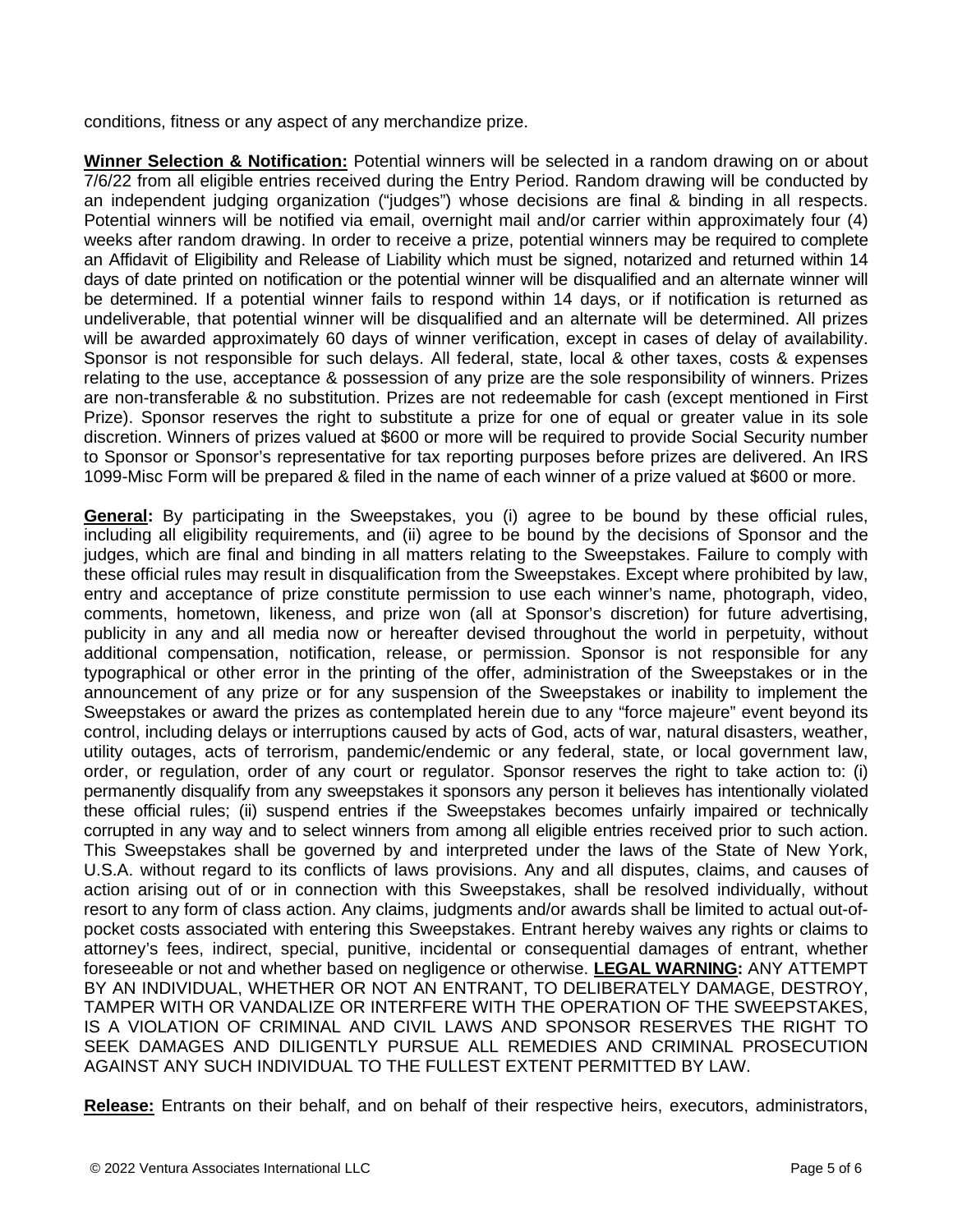conditions, fitness or any aspect of any merchandize prize.

**Winner Selection & Notification:** Potential winners will be selected in a random drawing on or about 7/6/22 from all eligible entries received during the Entry Period. Random drawing will be conducted by an independent judging organization ("judges") whose decisions are final & binding in all respects. Potential winners will be notified via email, overnight mail and/or carrier within approximately four (4) weeks after random drawing. In order to receive a prize, potential winners may be required to complete an Affidavit of Eligibility and Release of Liability which must be signed, notarized and returned within 14 days of date printed on notification or the potential winner will be disqualified and an alternate winner will be determined. If a potential winner fails to respond within 14 days, or if notification is returned as undeliverable, that potential winner will be disqualified and an alternate will be determined. All prizes will be awarded approximately 60 days of winner verification, except in cases of delay of availability. Sponsor is not responsible for such delays. All federal, state, local & other taxes, costs & expenses relating to the use, acceptance & possession of any prize are the sole responsibility of winners. Prizes are non-transferable & no substitution. Prizes are not redeemable for cash (except mentioned in First Prize). Sponsor reserves the right to substitute a prize for one of equal or greater value in its sole discretion. Winners of prizes valued at \$600 or more will be required to provide Social Security number to Sponsor or Sponsor's representative for tax reporting purposes before prizes are delivered. An IRS 1099-Misc Form will be prepared & filed in the name of each winner of a prize valued at \$600 or more.

**General:** By participating in the Sweepstakes, you (i) agree to be bound by these official rules, including all eligibility requirements, and (ii) agree to be bound by the decisions of Sponsor and the judges, which are final and binding in all matters relating to the Sweepstakes. Failure to comply with these official rules may result in disqualification from the Sweepstakes. Except where prohibited by law, entry and acceptance of prize constitute permission to use each winner's name, photograph, video, comments, hometown, likeness, and prize won (all at Sponsor's discretion) for future advertising, publicity in any and all media now or hereafter devised throughout the world in perpetuity, without additional compensation, notification, release, or permission. Sponsor is not responsible for any typographical or other error in the printing of the offer, administration of the Sweepstakes or in the announcement of any prize or for any suspension of the Sweepstakes or inability to implement the Sweepstakes or award the prizes as contemplated herein due to any "force majeure" event beyond its control, including delays or interruptions caused by acts of God, acts of war, natural disasters, weather, utility outages, acts of terrorism, pandemic/endemic or any federal, state, or local government law, order, or regulation, order of any court or regulator. Sponsor reserves the right to take action to: (i) permanently disqualify from any sweepstakes it sponsors any person it believes has intentionally violated these official rules; (ii) suspend entries if the Sweepstakes becomes unfairly impaired or technically corrupted in any way and to select winners from among all eligible entries received prior to such action. This Sweepstakes shall be governed by and interpreted under the laws of the State of New York, U.S.A. without regard to its conflicts of laws provisions. Any and all disputes, claims, and causes of action arising out of or in connection with this Sweepstakes, shall be resolved individually, without resort to any form of class action. Any claims, judgments and/or awards shall be limited to actual out-ofpocket costs associated with entering this Sweepstakes. Entrant hereby waives any rights or claims to attorney's fees, indirect, special, punitive, incidental or consequential damages of entrant, whether foreseeable or not and whether based on negligence or otherwise. **LEGAL WARNING:** ANY ATTEMPT BY AN INDIVIDUAL, WHETHER OR NOT AN ENTRANT, TO DELIBERATELY DAMAGE, DESTROY, TAMPER WITH OR VANDALIZE OR INTERFERE WITH THE OPERATION OF THE SWEEPSTAKES, IS A VIOLATION OF CRIMINAL AND CIVIL LAWS AND SPONSOR RESERVES THE RIGHT TO SEEK DAMAGES AND DILIGENTLY PURSUE ALL REMEDIES AND CRIMINAL PROSECUTION AGAINST ANY SUCH INDIVIDUAL TO THE FULLEST EXTENT PERMITTED BY LAW.

**Release:** Entrants on their behalf, and on behalf of their respective heirs, executors, administrators,